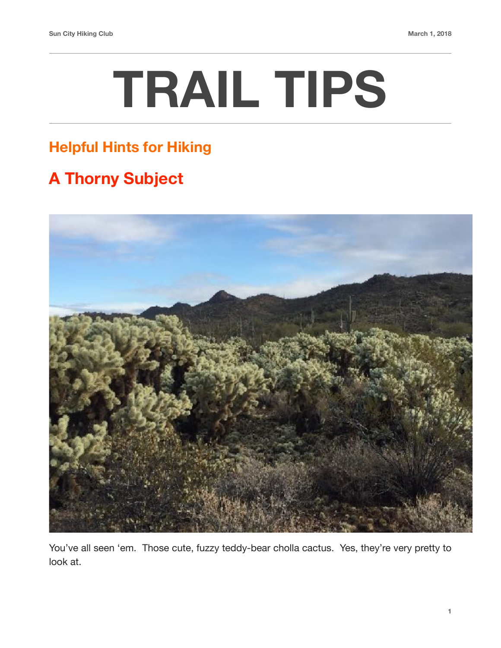## **TRAIL TIPS**

## **Helpful Hints for Hiking**

## **A Thorny Subject**



You've all seen 'em. Those cute, fuzzy teddy-bear cholla cactus. Yes, they're very pretty to look at.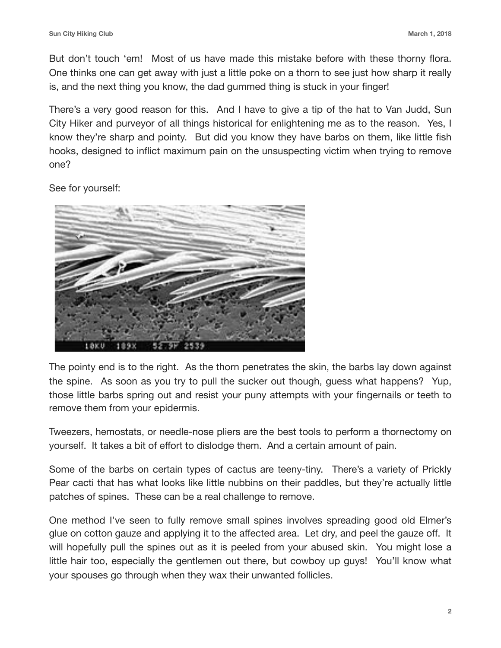But don't touch 'em! Most of us have made this mistake before with these thorny flora. One thinks one can get away with just a little poke on a thorn to see just how sharp it really is, and the next thing you know, the dad gummed thing is stuck in your finger!

There's a very good reason for this. And I have to give a tip of the hat to Van Judd, Sun City Hiker and purveyor of all things historical for enlightening me as to the reason. Yes, I know they're sharp and pointy. But did you know they have barbs on them, like little fish hooks, designed to inflict maximum pain on the unsuspecting victim when trying to remove one?

See for yourself:



The pointy end is to the right. As the thorn penetrates the skin, the barbs lay down against the spine. As soon as you try to pull the sucker out though, guess what happens? Yup, those little barbs spring out and resist your puny attempts with your fingernails or teeth to remove them from your epidermis.

Tweezers, hemostats, or needle-nose pliers are the best tools to perform a thornectomy on yourself. It takes a bit of effort to dislodge them. And a certain amount of pain.

Some of the barbs on certain types of cactus are teeny-tiny. There's a variety of Prickly Pear cacti that has what looks like little nubbins on their paddles, but they're actually little patches of spines. These can be a real challenge to remove.

One method I've seen to fully remove small spines involves spreading good old Elmer's glue on cotton gauze and applying it to the affected area. Let dry, and peel the gauze off. It will hopefully pull the spines out as it is peeled from your abused skin. You might lose a little hair too, especially the gentlemen out there, but cowboy up guys! You'll know what your spouses go through when they wax their unwanted follicles.